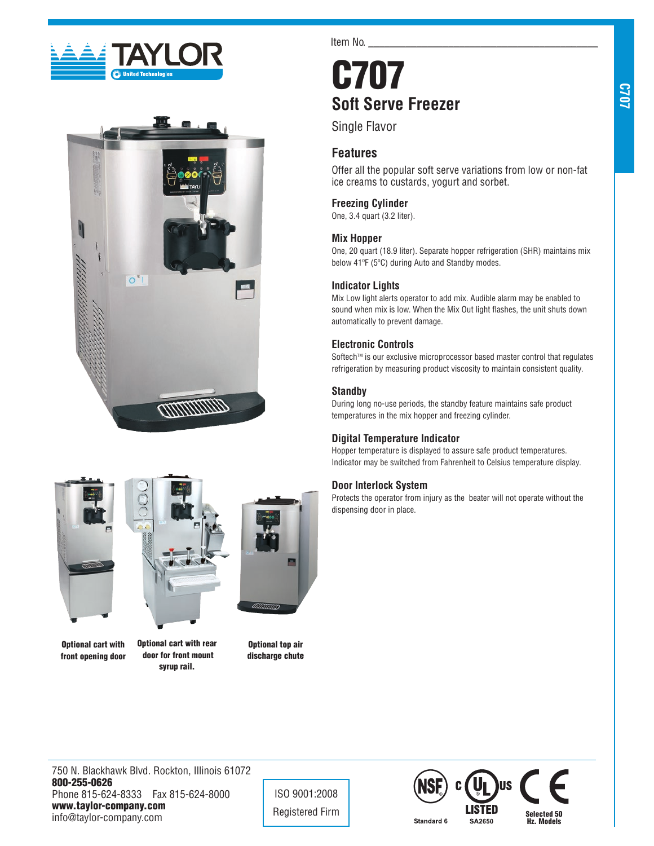



Item No.

# C707 **Soft Serve Freezer**

Single Flavor

# **Features**

Offer all the popular soft serve variations from low or non-fat ice creams to custards, yogurt and sorbet.

## **Freezing Cylinder**

One, 3.4 quart (3.2 liter).

## **Mix Hopper**

One, 20 quart (18.9 liter). Separate hopper refrigeration (SHR) maintains mix below 41ºF (5ºC) during Auto and Standby modes.

## **Indicator Lights**

Mix Low light alerts operator to add mix. Audible alarm may be enabled to sound when mix is low. When the Mix Out light flashes, the unit shuts down automatically to prevent damage.

# **Electronic Controls**

Softech™ is our exclusive microprocessor based master control that regulates refrigeration by measuring product viscosity to maintain consistent quality.

# **Standby**

During long no-use periods, the standby feature maintains safe product temperatures in the mix hopper and freezing cylinder.

# **Digital Temperature Indicator**

Hopper temperature is displayed to assure safe product temperatures. Indicator may be switched from Fahrenheit to Celsius temperature display.

# **Door Interlock System**

Protects the operator from injury as the beater will not operate without the dispensing door in place.





Optional cart with front opening door Optional cart with rear door for front mount syrup rail.



Optional top air discharge chute

750 N. Blackhawk Blvd. Rockton, Illinois 61072 800-255-0626 Phone 815-624-8333 Fax 815-624-8000 www.taylor-company.com info@taylor-company.com

ISO 9001:2008